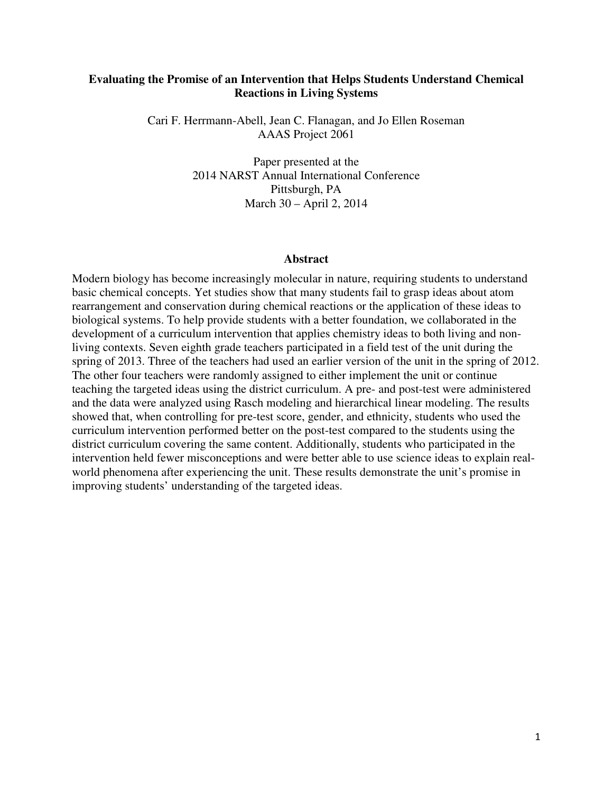### **Evaluating the Promise of an Intervention that Helps Students Understand Chemical Reactions in Living Systems**

Cari F. Herrmann-Abell, Jean C. Flanagan, and Jo Ellen Roseman AAAS Project 2061

> Paper presented at the 2014 NARST Annual International Conference Pittsburgh, PA March 30 – April 2, 2014

#### **Abstract**

Modern biology has become increasingly molecular in nature, requiring students to understand basic chemical concepts. Yet studies show that many students fail to grasp ideas about atom rearrangement and conservation during chemical reactions or the application of these ideas to biological systems. To help provide students with a better foundation, we collaborated in the development of a curriculum intervention that applies chemistry ideas to both living and nonliving contexts. Seven eighth grade teachers participated in a field test of the unit during the spring of 2013. Three of the teachers had used an earlier version of the unit in the spring of 2012. The other four teachers were randomly assigned to either implement the unit or continue teaching the targeted ideas using the district curriculum. A pre- and post-test were administered and the data were analyzed using Rasch modeling and hierarchical linear modeling. The results showed that, when controlling for pre-test score, gender, and ethnicity, students who used the curriculum intervention performed better on the post-test compared to the students using the district curriculum covering the same content. Additionally, students who participated in the intervention held fewer misconceptions and were better able to use science ideas to explain realworld phenomena after experiencing the unit. These results demonstrate the unit's promise in improving students' understanding of the targeted ideas.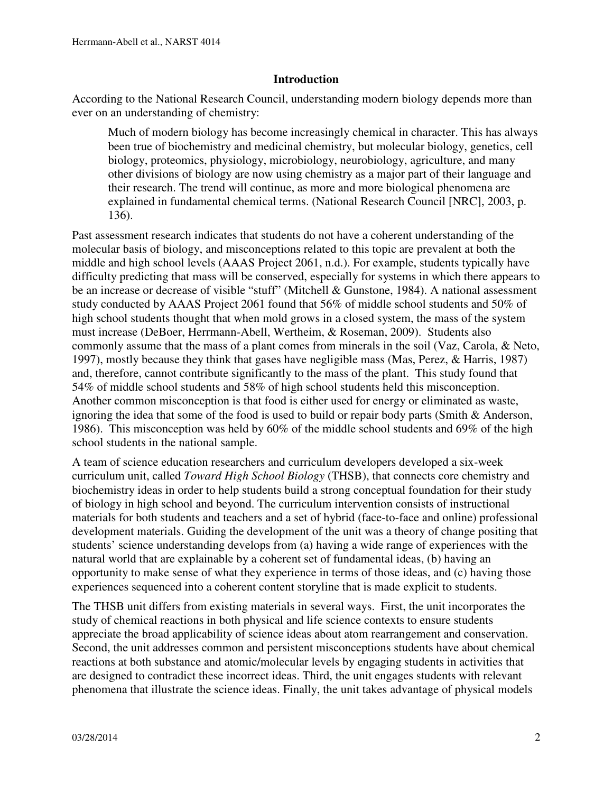### **Introduction**

According to the National Research Council, understanding modern biology depends more than ever on an understanding of chemistry:

Much of modern biology has become increasingly chemical in character. This has always been true of biochemistry and medicinal chemistry, but molecular biology, genetics, cell biology, proteomics, physiology, microbiology, neurobiology, agriculture, and many other divisions of biology are now using chemistry as a major part of their language and their research. The trend will continue, as more and more biological phenomena are explained in fundamental chemical terms. (National Research Council [NRC], 2003, p. 136).

Past assessment research indicates that students do not have a coherent understanding of the molecular basis of biology, and misconceptions related to this topic are prevalent at both the middle and high school levels (AAAS Project 2061, n.d.). For example, students typically have difficulty predicting that mass will be conserved, especially for systems in which there appears to be an increase or decrease of visible "stuff" (Mitchell & Gunstone, 1984). A national assessment study conducted by AAAS Project 2061 found that 56% of middle school students and 50% of high school students thought that when mold grows in a closed system, the mass of the system must increase (DeBoer, Herrmann-Abell, Wertheim, & Roseman, 2009). Students also commonly assume that the mass of a plant comes from minerals in the soil (Vaz, Carola, & Neto, 1997), mostly because they think that gases have negligible mass (Mas, Perez, & Harris, 1987) and, therefore, cannot contribute significantly to the mass of the plant. This study found that 54% of middle school students and 58% of high school students held this misconception. Another common misconception is that food is either used for energy or eliminated as waste, ignoring the idea that some of the food is used to build or repair body parts (Smith  $\&$  Anderson, 1986). This misconception was held by 60% of the middle school students and 69% of the high school students in the national sample.

A team of science education researchers and curriculum developers developed a six-week curriculum unit, called *Toward High School Biology* (THSB), that connects core chemistry and biochemistry ideas in order to help students build a strong conceptual foundation for their study of biology in high school and beyond. The curriculum intervention consists of instructional materials for both students and teachers and a set of hybrid (face-to-face and online) professional development materials. Guiding the development of the unit was a theory of change positing that students' science understanding develops from (a) having a wide range of experiences with the natural world that are explainable by a coherent set of fundamental ideas, (b) having an opportunity to make sense of what they experience in terms of those ideas, and (c) having those experiences sequenced into a coherent content storyline that is made explicit to students.

The THSB unit differs from existing materials in several ways. First, the unit incorporates the study of chemical reactions in both physical and life science contexts to ensure students appreciate the broad applicability of science ideas about atom rearrangement and conservation. Second, the unit addresses common and persistent misconceptions students have about chemical reactions at both substance and atomic/molecular levels by engaging students in activities that are designed to contradict these incorrect ideas. Third, the unit engages students with relevant phenomena that illustrate the science ideas. Finally, the unit takes advantage of physical models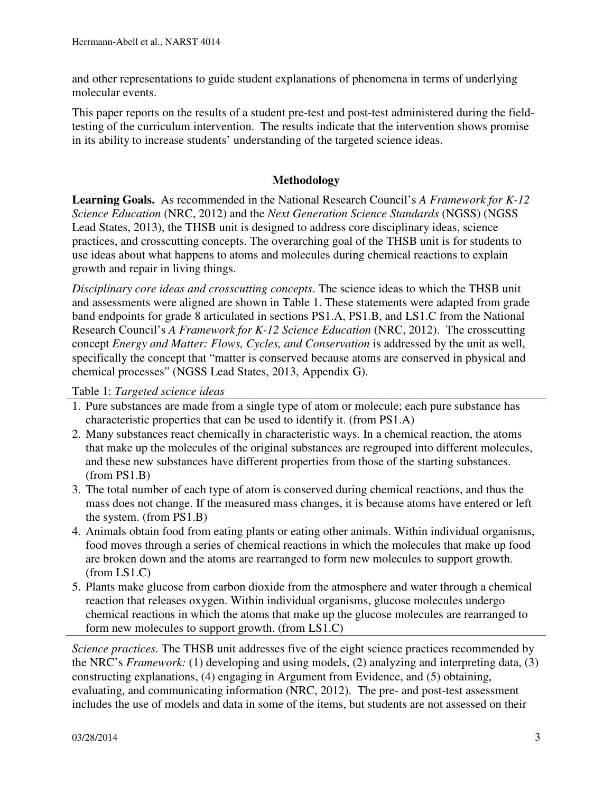and other representations to guide student explanations of phenomena in terms of underlying molecular events.

This paper reports on the results of a student pre-test and post-test administered during the fieldtesting of the curriculum intervention. The results indicate that the intervention shows promise in its ability to increase students' understanding of the targeted science ideas.

# **Methodology**

**Learning Goals.** As recommended in the National Research Council's *A Framework for K-12 Science Education* (NRC, 2012) and the *Next Generation Science Standards* (NGSS) (NGSS Lead States, 2013), the THSB unit is designed to address core disciplinary ideas, science practices, and crosscutting concepts. The overarching goal of the THSB unit is for students to use ideas about what happens to atoms and molecules during chemical reactions to explain growth and repair in living things.

*Disciplinary core ideas and crosscutting concepts*. The science ideas to which the THSB unit and assessments were aligned are shown in Table 1. These statements were adapted from grade band endpoints for grade 8 articulated in sections PS1.A, PS1.B, and LS1.C from the National Research Council's *A Framework for K-12 Science Education* (NRC, 2012). The crosscutting concept *Energy and Matter: Flows, Cycles, and Conservation* is addressed by the unit as well, specifically the concept that "matter is conserved because atoms are conserved in physical and chemical processes" (NGSS Lead States, 2013, Appendix G).

Table 1: *Targeted science ideas*

- 1. Pure substances are made from a single type of atom or molecule; each pure substance has characteristic properties that can be used to identify it. (from PS1.A)
- 2. Many substances react chemically in characteristic ways. In a chemical reaction, the atoms that make up the molecules of the original substances are regrouped into different molecules, and these new substances have different properties from those of the starting substances. (from PS1.B)
- 3. The total number of each type of atom is conserved during chemical reactions, and thus the mass does not change. If the measured mass changes, it is because atoms have entered or left the system. (from PS1.B)
- 4. Animals obtain food from eating plants or eating other animals. Within individual organisms, food moves through a series of chemical reactions in which the molecules that make up food are broken down and the atoms are rearranged to form new molecules to support growth. (from LS1.C)
- 5. Plants make glucose from carbon dioxide from the atmosphere and water through a chemical reaction that releases oxygen. Within individual organisms, glucose molecules undergo chemical reactions in which the atoms that make up the glucose molecules are rearranged to form new molecules to support growth. (from LS1.C)

*Science practices.* The THSB unit addresses five of the eight science practices recommended by the NRC's *Framework:* (1) developing and using models, (2) analyzing and interpreting data, (3) constructing explanations, (4) engaging in Argument from Evidence, and (5) obtaining, evaluating, and communicating information (NRC, 2012). The pre- and post-test assessment includes the use of models and data in some of the items, but students are not assessed on their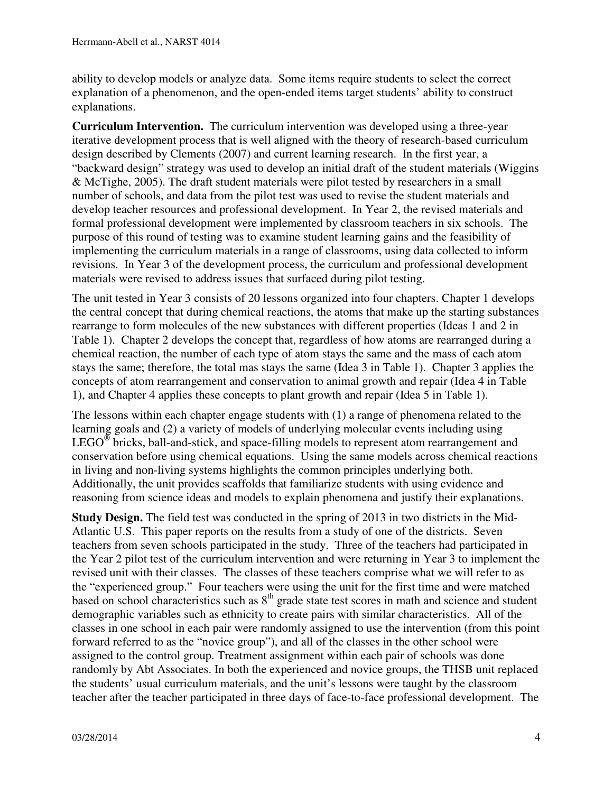ability to develop models or analyze data. Some items require students to select the correct explanation of a phenomenon, and the open-ended items target students' ability to construct explanations.

**Curriculum Intervention.** The curriculum intervention was developed using a three-year iterative development process that is well aligned with the theory of research-based curriculum design described by Clements (2007) and current learning research. In the first year, a "backward design" strategy was used to develop an initial draft of the student materials (Wiggins & McTighe, 2005). The draft student materials were pilot tested by researchers in a small number of schools, and data from the pilot test was used to revise the student materials and develop teacher resources and professional development. In Year 2, the revised materials and formal professional development were implemented by classroom teachers in six schools. The purpose of this round of testing was to examine student learning gains and the feasibility of implementing the curriculum materials in a range of classrooms, using data collected to inform revisions. In Year 3 of the development process, the curriculum and professional development materials were revised to address issues that surfaced during pilot testing.

The unit tested in Year 3 consists of 20 lessons organized into four chapters. Chapter 1 develops the central concept that during chemical reactions, the atoms that make up the starting substances rearrange to form molecules of the new substances with different properties (Ideas 1 and 2 in Table 1). Chapter 2 develops the concept that, regardless of how atoms are rearranged during a chemical reaction, the number of each type of atom stays the same and the mass of each atom stays the same; therefore, the total mas stays the same (Idea 3 in Table 1). Chapter 3 applies the concepts of atom rearrangement and conservation to animal growth and repair (Idea 4 in Table 1), and Chapter 4 applies these concepts to plant growth and repair (Idea 5 in Table 1).

The lessons within each chapter engage students with (1) a range of phenomena related to the learning goals and (2) a variety of models of underlying molecular events including using  $LEGO<sup>®</sup>$  bricks, ball-and-stick, and space-filling models to represent atom rearrangement and conservation before using chemical equations. Using the same models across chemical reactions in living and non-living systems highlights the common principles underlying both. Additionally, the unit provides scaffolds that familiarize students with using evidence and reasoning from science ideas and models to explain phenomena and justify their explanations.

**Study Design.** The field test was conducted in the spring of 2013 in two districts in the Mid-Atlantic U.S. This paper reports on the results from a study of one of the districts. Seven teachers from seven schools participated in the study. Three of the teachers had participated in the Year 2 pilot test of the curriculum intervention and were returning in Year 3 to implement the revised unit with their classes. The classes of these teachers comprise what we will refer to as the "experienced group." Four teachers were using the unit for the first time and were matched based on school characteristics such as  $8<sup>th</sup>$  grade state test scores in math and science and student demographic variables such as ethnicity to create pairs with similar characteristics. All of the classes in one school in each pair were randomly assigned to use the intervention (from this point forward referred to as the "novice group"), and all of the classes in the other school were assigned to the control group. Treatment assignment within each pair of schools was done randomly by Abt Associates. In both the experienced and novice groups, the THSB unit replaced the students' usual curriculum materials, and the unit's lessons were taught by the classroom teacher after the teacher participated in three days of face-to-face professional development. The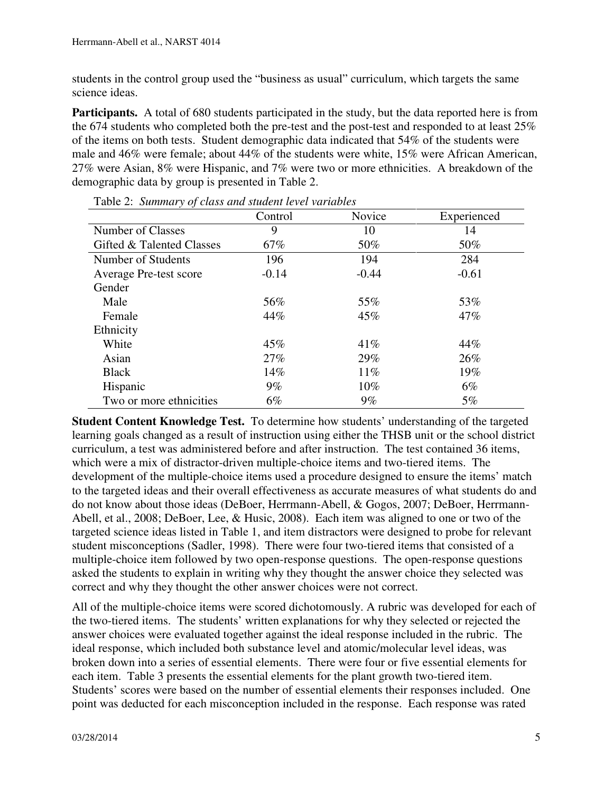students in the control group used the "business as usual" curriculum, which targets the same science ideas.

**Participants.** A total of 680 students participated in the study, but the data reported here is from the 674 students who completed both the pre-test and the post-test and responded to at least 25% of the items on both tests. Student demographic data indicated that 54% of the students were male and 46% were female; about 44% of the students were white, 15% were African American, 27% were Asian, 8% were Hispanic, and 7% were two or more ethnicities. A breakdown of the demographic data by group is presented in Table 2.

|                           | Control | Novice  | Experienced |
|---------------------------|---------|---------|-------------|
| Number of Classes         | 9       | 10      | 14          |
| Gifted & Talented Classes | $67\%$  | 50%     | 50%         |
| Number of Students        | 196     | 194     | 284         |
| Average Pre-test score    | $-0.14$ | $-0.44$ | $-0.61$     |
| Gender                    |         |         |             |
| Male                      | 56%     | 55%     | 53%         |
| Female                    | 44%     | 45%     | 47%         |
| Ethnicity                 |         |         |             |
| White                     | 45%     | 41%     | 44%         |
| Asian                     | 27%     | 29%     | 26%         |
| <b>Black</b>              | 14%     | 11%     | 19%         |
| Hispanic                  | $9\%$   | 10%     | $6\%$       |
| Two or more ethnicities   | $6\%$   | $9\%$   | 5%          |

Table 2: *Summary of class and student level variables*

**Student Content Knowledge Test.** To determine how students' understanding of the targeted learning goals changed as a result of instruction using either the THSB unit or the school district curriculum, a test was administered before and after instruction. The test contained 36 items, which were a mix of distractor-driven multiple-choice items and two-tiered items. The development of the multiple-choice items used a procedure designed to ensure the items' match to the targeted ideas and their overall effectiveness as accurate measures of what students do and do not know about those ideas (DeBoer, Herrmann-Abell, & Gogos, 2007; DeBoer, Herrmann-Abell, et al., 2008; DeBoer, Lee, & Husic, 2008). Each item was aligned to one or two of the targeted science ideas listed in Table 1, and item distractors were designed to probe for relevant student misconceptions (Sadler, 1998). There were four two-tiered items that consisted of a multiple-choice item followed by two open-response questions. The open-response questions asked the students to explain in writing why they thought the answer choice they selected was correct and why they thought the other answer choices were not correct.

All of the multiple-choice items were scored dichotomously. A rubric was developed for each of the two-tiered items. The students' written explanations for why they selected or rejected the answer choices were evaluated together against the ideal response included in the rubric. The ideal response, which included both substance level and atomic/molecular level ideas, was broken down into a series of essential elements. There were four or five essential elements for each item. Table 3 presents the essential elements for the plant growth two-tiered item. Students' scores were based on the number of essential elements their responses included. One point was deducted for each misconception included in the response. Each response was rated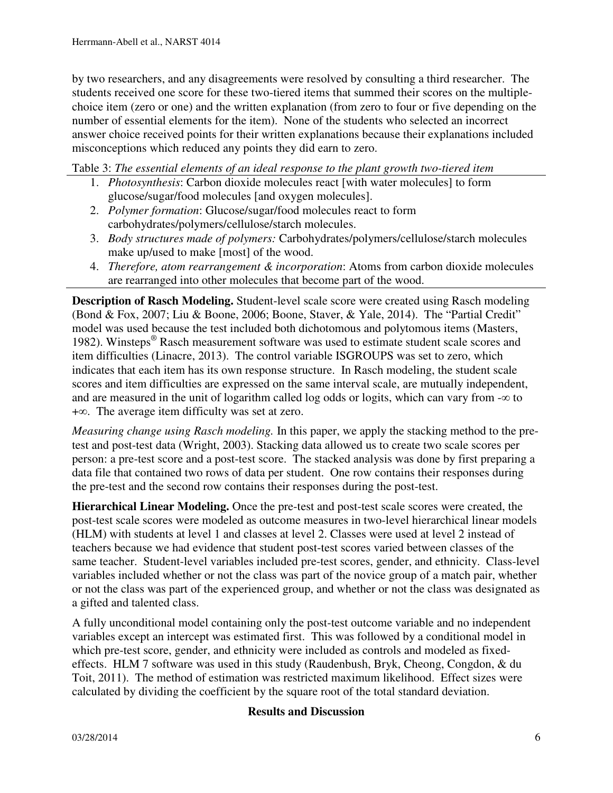by two researchers, and any disagreements were resolved by consulting a third researcher. The students received one score for these two-tiered items that summed their scores on the multiplechoice item (zero or one) and the written explanation (from zero to four or five depending on the number of essential elements for the item). None of the students who selected an incorrect answer choice received points for their written explanations because their explanations included misconceptions which reduced any points they did earn to zero.

Table 3: *The essential elements of an ideal response to the plant growth two-tiered item* 

- 1. *Photosynthesis*: Carbon dioxide molecules react [with water molecules] to form glucose/sugar/food molecules [and oxygen molecules].
- 2. *Polymer formation*: Glucose/sugar/food molecules react to form carbohydrates/polymers/cellulose/starch molecules.
- 3. *Body structures made of polymers:* Carbohydrates/polymers/cellulose/starch molecules make up/used to make [most] of the wood.
- 4. *Therefore, atom rearrangement & incorporation*: Atoms from carbon dioxide molecules are rearranged into other molecules that become part of the wood.

**Description of Rasch Modeling.** Student-level scale score were created using Rasch modeling (Bond & Fox, 2007; Liu & Boone, 2006; Boone, Staver, & Yale, 2014). The "Partial Credit" model was used because the test included both dichotomous and polytomous items (Masters, 1982). Winsteps<sup>®</sup> Rasch measurement software was used to estimate student scale scores and item difficulties (Linacre, 2013). The control variable ISGROUPS was set to zero, which indicates that each item has its own response structure. In Rasch modeling, the student scale scores and item difficulties are expressed on the same interval scale, are mutually independent, and are measured in the unit of logarithm called log odds or logits, which can vary from  $-\infty$  to +∞. The average item difficulty was set at zero.

*Measuring change using Rasch modeling.* In this paper, we apply the stacking method to the pretest and post-test data (Wright, 2003). Stacking data allowed us to create two scale scores per person: a pre-test score and a post-test score. The stacked analysis was done by first preparing a data file that contained two rows of data per student. One row contains their responses during the pre-test and the second row contains their responses during the post-test.

**Hierarchical Linear Modeling.** Once the pre-test and post-test scale scores were created, the post-test scale scores were modeled as outcome measures in two-level hierarchical linear models (HLM) with students at level 1 and classes at level 2. Classes were used at level 2 instead of teachers because we had evidence that student post-test scores varied between classes of the same teacher. Student-level variables included pre-test scores, gender, and ethnicity. Class-level variables included whether or not the class was part of the novice group of a match pair, whether or not the class was part of the experienced group, and whether or not the class was designated as a gifted and talented class.

A fully unconditional model containing only the post-test outcome variable and no independent variables except an intercept was estimated first. This was followed by a conditional model in which pre-test score, gender, and ethnicity were included as controls and modeled as fixedeffects. HLM 7 software was used in this study (Raudenbush, Bryk, Cheong, Congdon, & du Toit, 2011). The method of estimation was restricted maximum likelihood. Effect sizes were calculated by dividing the coefficient by the square root of the total standard deviation.

## **Results and Discussion**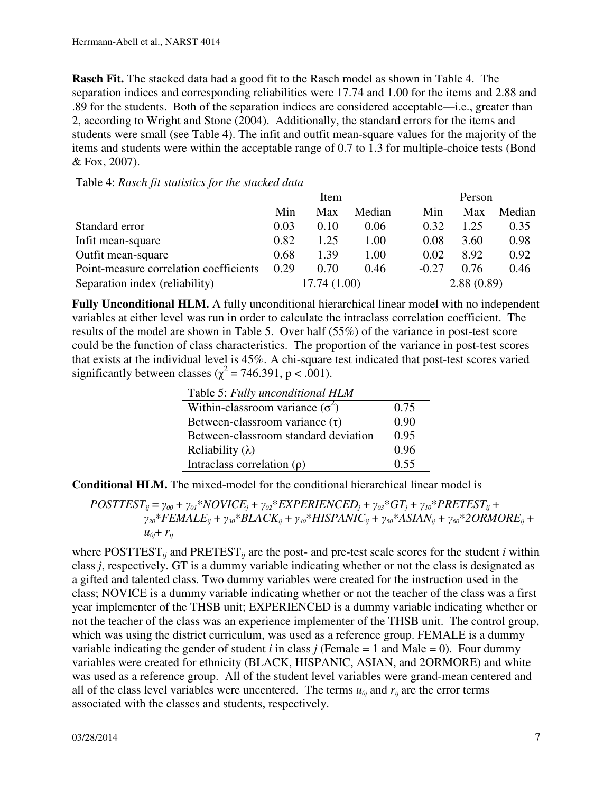**Rasch Fit.** The stacked data had a good fit to the Rasch model as shown in Table 4. The separation indices and corresponding reliabilities were 17.74 and 1.00 for the items and 2.88 and .89 for the students. Both of the separation indices are considered acceptable—i.e., greater than 2, according to Wright and Stone (2004). Additionally, the standard errors for the items and students were small (see Table 4). The infit and outfit mean-square values for the majority of the items and students were within the acceptable range of 0.7 to 1.3 for multiple-choice tests (Bond & Fox, 2007).

|                                        | Item |              |        | Person  |            |        |
|----------------------------------------|------|--------------|--------|---------|------------|--------|
|                                        | Min  | Max          | Median | Min     | Max        | Median |
| Standard error                         | 0.03 | 0.10         | 0.06   | 0.32    | 1.25       | 0.35   |
| Infit mean-square                      | 0.82 | 1.25         | 1.00   | 0.08    | 3.60       | 0.98   |
| Outfit mean-square                     | 0.68 | 1.39         | 1.00   | 0.02    | 8.92       | 0.92   |
| Point-measure correlation coefficients | 0.29 | 0.70         | 0.46   | $-0.27$ | 0.76       | 0.46   |
| Separation index (reliability)         |      | 17.74 (1.00) |        |         | 2.88(0.89) |        |

Table 4: *Rasch fit statistics for the stacked data*

**Fully Unconditional HLM.** A fully unconditional hierarchical linear model with no independent variables at either level was run in order to calculate the intraclass correlation coefficient. The results of the model are shown in Table 5. Over half (55%) of the variance in post-test score could be the function of class characteristics. The proportion of the variance in post-test scores that exists at the individual level is 45%. A chi-square test indicated that post-test scores varied significantly between classes ( $\chi^2$  = 746.391, p < .001).

Table 5: *Fully unconditional HLM*

| Within-classroom variance $(\sigma^2)$ | 0.75 |
|----------------------------------------|------|
| Between-classroom variance $(\tau)$    | 0.90 |
| Between-classroom standard deviation   | 0.95 |
| Reliability (λ)                        | 0.96 |
| Intraclass correlation $(\rho)$        | 0.55 |

**Conditional HLM.** The mixed-model for the conditional hierarchical linear model is

$$
POSTTEST_{ij} = \gamma_{00} + \gamma_{01} * NOVICE_{j} + \gamma_{02} * EXPERIENCED_{j} + \gamma_{03} * GT_{j} + \gamma_{10} * PRETEST_{ij} + \gamma_{20} * FEMALE_{ij} + \gamma_{30} * BLACK_{ij} + \gamma_{40} * HISPANIC_{ij} + \gamma_{50} * ASIAN_{ij} + \gamma_{60} * 2ORMORE_{ij} + \nu_{60} + r_{ij}
$$

where  $\text{POSTTEST}_{ii}$  and  $\text{PRETEST}_{ii}$  are the post- and pre-test scale scores for the student *i* within class *j*, respectively. GT is a dummy variable indicating whether or not the class is designated as a gifted and talented class. Two dummy variables were created for the instruction used in the class; NOVICE is a dummy variable indicating whether or not the teacher of the class was a first year implementer of the THSB unit; EXPERIENCED is a dummy variable indicating whether or not the teacher of the class was an experience implementer of the THSB unit. The control group, which was using the district curriculum, was used as a reference group. FEMALE is a dummy variable indicating the gender of student *i* in class *j* (Female  $= 1$  and Male  $= 0$ ). Four dummy variables were created for ethnicity (BLACK, HISPANIC, ASIAN, and 2ORMORE) and white was used as a reference group. All of the student level variables were grand-mean centered and all of the class level variables were uncentered. The terms  $u_{0j}$  and  $r_{ij}$  are the error terms associated with the classes and students, respectively.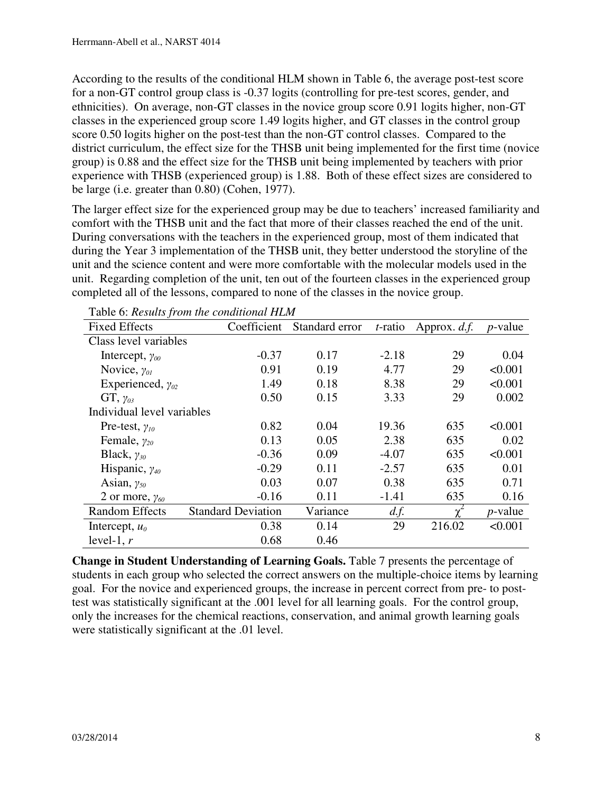According to the results of the conditional HLM shown in Table 6, the average post-test score for a non-GT control group class is -0.37 logits (controlling for pre-test scores, gender, and ethnicities). On average, non-GT classes in the novice group score 0.91 logits higher, non-GT classes in the experienced group score 1.49 logits higher, and GT classes in the control group score 0.50 logits higher on the post-test than the non-GT control classes. Compared to the district curriculum, the effect size for the THSB unit being implemented for the first time (novice group) is 0.88 and the effect size for the THSB unit being implemented by teachers with prior experience with THSB (experienced group) is 1.88. Both of these effect sizes are considered to be large (i.e. greater than 0.80) (Cohen, 1977).

The larger effect size for the experienced group may be due to teachers' increased familiarity and comfort with the THSB unit and the fact that more of their classes reached the end of the unit. During conversations with the teachers in the experienced group, most of them indicated that during the Year 3 implementation of the THSB unit, they better understood the storyline of the unit and the science content and were more comfortable with the molecular models used in the unit. Regarding completion of the unit, ten out of the fourteen classes in the experienced group completed all of the lessons, compared to none of the classes in the novice group.

| <b>Fixed Effects</b>       | Coefficient               | Standard error | <i>t</i> -ratio | Approx. d.f. | $p$ -value |
|----------------------------|---------------------------|----------------|-----------------|--------------|------------|
| Class level variables      |                           |                |                 |              |            |
| Intercept, $\gamma_{00}$   | $-0.37$                   | 0.17           | $-2.18$         | 29           | 0.04       |
| Novice, $\gamma_{0I}$      | 0.91                      | 0.19           | 4.77            | 29           | < 0.001    |
| Experienced, $\gamma_{02}$ | 1.49                      | 0.18           | 8.38            | 29           | < 0.001    |
| $GT, \gamma_{03}$          | 0.50                      | 0.15           | 3.33            | 29           | 0.002      |
| Individual level variables |                           |                |                 |              |            |
| Pre-test, $\gamma_{10}$    | 0.82                      | 0.04           | 19.36           | 635          | < 0.001    |
| Female, $\gamma_{20}$      | 0.13                      | 0.05           | 2.38            | 635          | 0.02       |
| Black, $\gamma_{30}$       | $-0.36$                   | 0.09           | $-4.07$         | 635          | < 0.001    |
| Hispanic, $\gamma_{40}$    | $-0.29$                   | 0.11           | $-2.57$         | 635          | 0.01       |
| Asian, $\gamma_{50}$       | 0.03                      | 0.07           | 0.38            | 635          | 0.71       |
| 2 or more, $\gamma_{60}$   | $-0.16$                   | 0.11           | $-1.41$         | 635          | 0.16       |
| <b>Random Effects</b>      | <b>Standard Deviation</b> | Variance       | d.f.            | $\mathbf v$  | $p$ -value |
| Intercept, $u_0$           | 0.38                      | 0.14           | 29              | 216.02       | < 0.001    |
| level-1, $r$               | 0.68                      | 0.46           |                 |              |            |

Table 6: *Results from the conditional HLM*

**Change in Student Understanding of Learning Goals.** Table 7 presents the percentage of students in each group who selected the correct answers on the multiple-choice items by learning goal. For the novice and experienced groups, the increase in percent correct from pre- to posttest was statistically significant at the .001 level for all learning goals. For the control group, only the increases for the chemical reactions, conservation, and animal growth learning goals were statistically significant at the .01 level.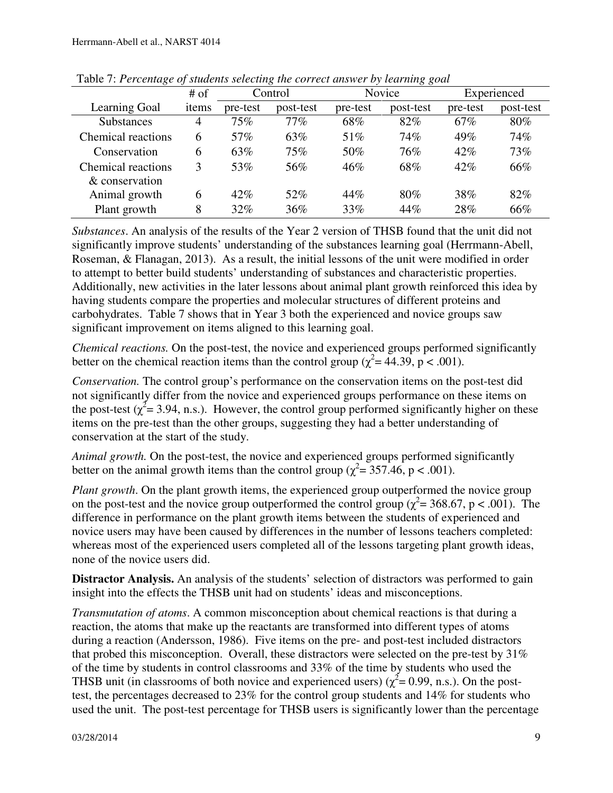|                           | $#$ of         |          | Control   |          | o o :<br>Novice |          | Experienced |
|---------------------------|----------------|----------|-----------|----------|-----------------|----------|-------------|
| Learning Goal             | items          | pre-test | post-test | pre-test | post-test       | pre-test | post-test   |
| <b>Substances</b>         | $\overline{4}$ | 75%      | 77%       | 68%      | 82%             | 67%      | 80%         |
| <b>Chemical reactions</b> | 6              | 57%      | 63%       | 51\%     | 74%             | 49%      | 74%         |
| Conservation              | 6              | 63%      | 75%       | 50%      | 76%             | 42%      | 73%         |
| Chemical reactions        | 3              | 53%      | 56%       | 46%      | 68%             | $42\%$   | 66%         |
| & conservation            |                |          |           |          |                 |          |             |
| Animal growth             | 6              | 42%      | 52%       | 44%      | 80%             | 38%      | 82%         |
| Plant growth              | 8              | $32\%$   | 36%       | 33%      | 44%             | 28%      | 66%         |

Table 7: *Percentage of students selecting the correct answer by learning goal* 

*Substances*. An analysis of the results of the Year 2 version of THSB found that the unit did not significantly improve students' understanding of the substances learning goal (Herrmann-Abell, Roseman, & Flanagan, 2013). As a result, the initial lessons of the unit were modified in order to attempt to better build students' understanding of substances and characteristic properties. Additionally, new activities in the later lessons about animal plant growth reinforced this idea by having students compare the properties and molecular structures of different proteins and carbohydrates. Table 7 shows that in Year 3 both the experienced and novice groups saw significant improvement on items aligned to this learning goal.

*Chemical reactions.* On the post-test, the novice and experienced groups performed significantly better on the chemical reaction items than the control group ( $\chi^2$  = 44.39, p < .001).

*Conservation.* The control group's performance on the conservation items on the post-test did not significantly differ from the novice and experienced groups performance on these items on the post-test ( $\chi^2$  = 3.94, n.s.). However, the control group performed significantly higher on these items on the pre-test than the other groups, suggesting they had a better understanding of conservation at the start of the study.

*Animal growth.* On the post-test, the novice and experienced groups performed significantly better on the animal growth items than the control group ( $\chi^2$  = 357.46, p < .001).

*Plant growth*. On the plant growth items, the experienced group outperformed the novice group on the post-test and the novice group outperformed the control group ( $\chi^2$  = 368.67, p < .001). The difference in performance on the plant growth items between the students of experienced and novice users may have been caused by differences in the number of lessons teachers completed: whereas most of the experienced users completed all of the lessons targeting plant growth ideas, none of the novice users did.

**Distractor Analysis.** An analysis of the students' selection of distractors was performed to gain insight into the effects the THSB unit had on students' ideas and misconceptions.

*Transmutation of atoms*. A common misconception about chemical reactions is that during a reaction, the atoms that make up the reactants are transformed into different types of atoms during a reaction (Andersson, 1986). Five items on the pre- and post-test included distractors that probed this misconception. Overall, these distractors were selected on the pre-test by 31% of the time by students in control classrooms and 33% of the time by students who used the THSB unit (in classrooms of both novice and experienced users) ( $\chi^2$  = 0.99, n.s.). On the posttest, the percentages decreased to 23% for the control group students and 14% for students who used the unit. The post-test percentage for THSB users is significantly lower than the percentage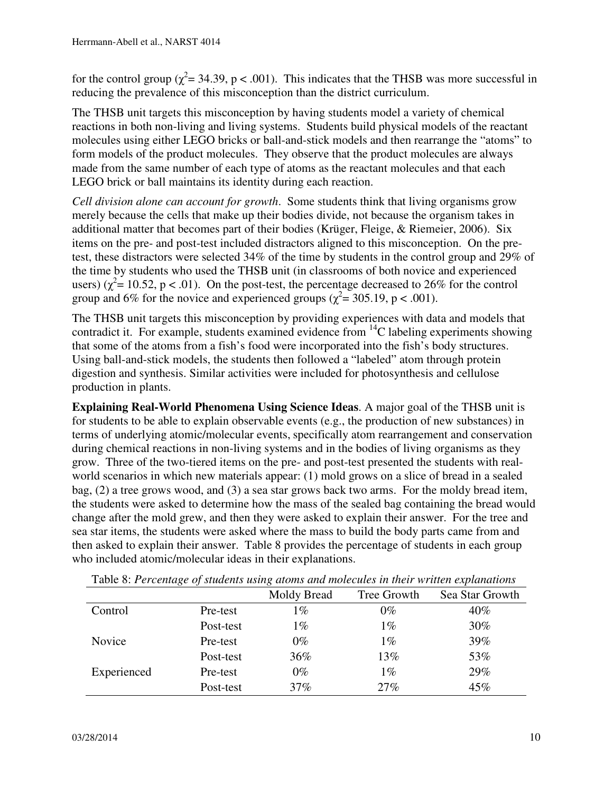for the control group ( $\chi^2$  = 34.39, p < .001). This indicates that the THSB was more successful in reducing the prevalence of this misconception than the district curriculum.

The THSB unit targets this misconception by having students model a variety of chemical reactions in both non-living and living systems. Students build physical models of the reactant molecules using either LEGO bricks or ball-and-stick models and then rearrange the "atoms" to form models of the product molecules. They observe that the product molecules are always made from the same number of each type of atoms as the reactant molecules and that each LEGO brick or ball maintains its identity during each reaction.

*Cell division alone can account for growth*. Some students think that living organisms grow merely because the cells that make up their bodies divide, not because the organism takes in additional matter that becomes part of their bodies (Krüger, Fleige, & Riemeier, 2006). Six items on the pre- and post-test included distractors aligned to this misconception. On the pretest, these distractors were selected 34% of the time by students in the control group and 29% of the time by students who used the THSB unit (in classrooms of both novice and experienced users) ( $\chi^2$  = 10.52, p < .01). On the post-test, the percentage decreased to 26% for the control group and 6% for the novice and experienced groups ( $\chi^2$  = 305.19, p < .001).

The THSB unit targets this misconception by providing experiences with data and models that contradict it. For example, students examined evidence from  ${}^{14}C$  labeling experiments showing that some of the atoms from a fish's food were incorporated into the fish's body structures. Using ball-and-stick models, the students then followed a "labeled" atom through protein digestion and synthesis. Similar activities were included for photosynthesis and cellulose production in plants.

**Explaining Real-World Phenomena Using Science Ideas**. A major goal of the THSB unit is for students to be able to explain observable events (e.g., the production of new substances) in terms of underlying atomic/molecular events, specifically atom rearrangement and conservation during chemical reactions in non-living systems and in the bodies of living organisms as they grow. Three of the two-tiered items on the pre- and post-test presented the students with realworld scenarios in which new materials appear: (1) mold grows on a slice of bread in a sealed bag, (2) a tree grows wood, and (3) a sea star grows back two arms. For the moldy bread item, the students were asked to determine how the mass of the sealed bag containing the bread would change after the mold grew, and then they were asked to explain their answer. For the tree and sea star items, the students were asked where the mass to build the body parts came from and then asked to explain their answer. Table 8 provides the percentage of students in each group who included atomic/molecular ideas in their explanations.

|             |           | Moldy Bread | Tree Growth | Sea Star Growth |
|-------------|-----------|-------------|-------------|-----------------|
| Control     | Pre-test  | $1\%$       | $0\%$       | 40%             |
|             | Post-test | $1\%$       | $1\%$       | 30%             |
| Novice      | Pre-test  | $0\%$       | $1\%$       | 39%             |
|             | Post-test | 36%         | 13%         | 53%             |
| Experienced | Pre-test  | $0\%$       | $1\%$       | 29%             |
|             | Post-test | 37%         | 27%         | 45%             |

Table 8: *Percentage of students using atoms and molecules in their written explanations*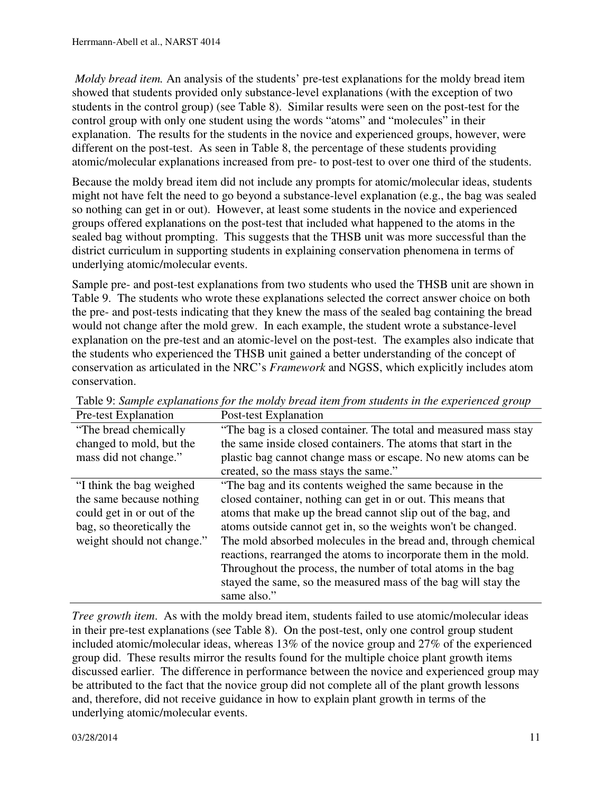*Moldy bread item.* An analysis of the students' pre-test explanations for the moldy bread item showed that students provided only substance-level explanations (with the exception of two students in the control group) (see Table 8). Similar results were seen on the post-test for the control group with only one student using the words "atoms" and "molecules" in their explanation. The results for the students in the novice and experienced groups, however, were different on the post-test. As seen in Table 8, the percentage of these students providing atomic/molecular explanations increased from pre- to post-test to over one third of the students.

Because the moldy bread item did not include any prompts for atomic/molecular ideas, students might not have felt the need to go beyond a substance-level explanation (e.g., the bag was sealed so nothing can get in or out). However, at least some students in the novice and experienced groups offered explanations on the post-test that included what happened to the atoms in the sealed bag without prompting. This suggests that the THSB unit was more successful than the district curriculum in supporting students in explaining conservation phenomena in terms of underlying atomic/molecular events.

Sample pre- and post-test explanations from two students who used the THSB unit are shown in Table 9. The students who wrote these explanations selected the correct answer choice on both the pre- and post-tests indicating that they knew the mass of the sealed bag containing the bread would not change after the mold grew. In each example, the student wrote a substance-level explanation on the pre-test and an atomic-level on the post-test. The examples also indicate that the students who experienced the THSB unit gained a better understanding of the concept of conservation as articulated in the NRC's *Framework* and NGSS, which explicitly includes atom conservation.

| Pre-test Explanation       | Post-test Explanation                                            |
|----------------------------|------------------------------------------------------------------|
| "The bread chemically"     | "The bag is a closed container. The total and measured mass stay |
| changed to mold, but the   | the same inside closed containers. The atoms that start in the   |
| mass did not change."      | plastic bag cannot change mass or escape. No new atoms can be    |
|                            | created, so the mass stays the same."                            |
| "I think the bag weighed"  | "The bag and its contents weighed the same because in the        |
| the same because nothing   | closed container, nothing can get in or out. This means that     |
| could get in or out of the | atoms that make up the bread cannot slip out of the bag, and     |
| bag, so theoretically the  | atoms outside cannot get in, so the weights won't be changed.    |
| weight should not change." | The mold absorbed molecules in the bread and, through chemical   |
|                            | reactions, rearranged the atoms to incorporate them in the mold. |
|                            | Throughout the process, the number of total atoms in the bag     |
|                            | stayed the same, so the measured mass of the bag will stay the   |
|                            | same also."                                                      |

Table 9: *Sample explanations for the moldy bread item from students in the experienced group*

*Tree growth item*. As with the moldy bread item, students failed to use atomic/molecular ideas in their pre-test explanations (see Table 8). On the post-test, only one control group student included atomic/molecular ideas, whereas 13% of the novice group and 27% of the experienced group did. These results mirror the results found for the multiple choice plant growth items discussed earlier. The difference in performance between the novice and experienced group may be attributed to the fact that the novice group did not complete all of the plant growth lessons and, therefore, did not receive guidance in how to explain plant growth in terms of the underlying atomic/molecular events.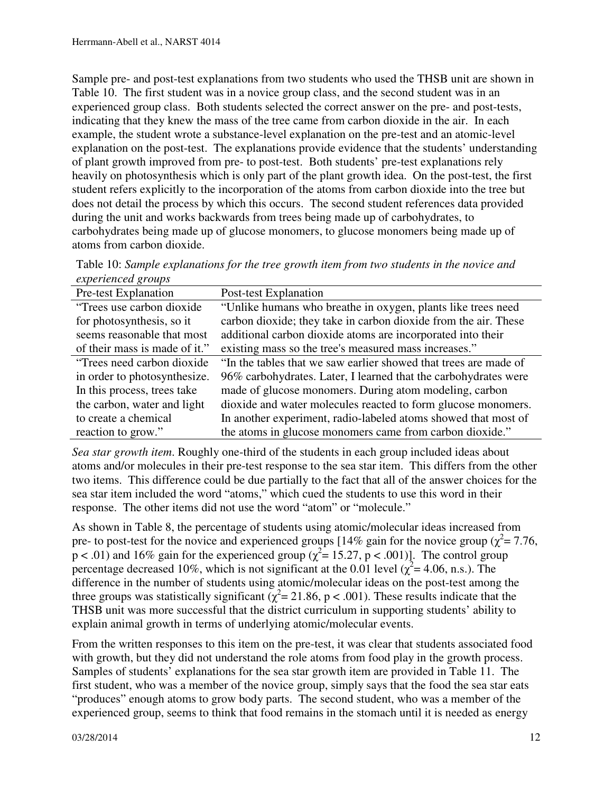Sample pre- and post-test explanations from two students who used the THSB unit are shown in Table 10. The first student was in a novice group class, and the second student was in an experienced group class. Both students selected the correct answer on the pre- and post-tests, indicating that they knew the mass of the tree came from carbon dioxide in the air. In each example, the student wrote a substance-level explanation on the pre-test and an atomic-level explanation on the post-test. The explanations provide evidence that the students' understanding of plant growth improved from pre- to post-test. Both students' pre-test explanations rely heavily on photosynthesis which is only part of the plant growth idea. On the post-test, the first student refers explicitly to the incorporation of the atoms from carbon dioxide into the tree but does not detail the process by which this occurs. The second student references data provided during the unit and works backwards from trees being made up of carbohydrates, to carbohydrates being made up of glucose monomers, to glucose monomers being made up of atoms from carbon dioxide.

Table 10: *Sample explanations for the tree growth item from two students in the novice and experienced groups*

| Pre-test Explanation          | Post-test Explanation                                            |
|-------------------------------|------------------------------------------------------------------|
| "Trees use carbon dioxide"    | "Unlike humans who breathe in oxygen, plants like trees need     |
| for photosynthesis, so it     | carbon dioxide; they take in carbon dioxide from the air. These  |
| seems reasonable that most    | additional carbon dioxide atoms are incorporated into their      |
| of their mass is made of it." | existing mass so the tree's measured mass increases."            |
| "Trees need carbon dioxide"   | "In the tables that we saw earlier showed that trees are made of |
| in order to photosynthesize.  | 96% carbohydrates. Later, I learned that the carbohydrates were  |
| In this process, trees take   | made of glucose monomers. During atom modeling, carbon           |
| the carbon, water and light   | dioxide and water molecules reacted to form glucose monomers.    |
| to create a chemical          | In another experiment, radio-labeled atoms showed that most of   |
| reaction to grow."            | the atoms in glucose monomers came from carbon dioxide."         |

*Sea star growth item*. Roughly one-third of the students in each group included ideas about atoms and/or molecules in their pre-test response to the sea star item. This differs from the other two items. This difference could be due partially to the fact that all of the answer choices for the sea star item included the word "atoms," which cued the students to use this word in their response. The other items did not use the word "atom" or "molecule."

As shown in Table 8, the percentage of students using atomic/molecular ideas increased from pre- to post-test for the novice and experienced groups [14% gain for the novice group ( $\chi^2$  = 7.76,  $p < .01$ ) and 16% gain for the experienced group ( $\chi^2 = 15.27$ ,  $p < .001$ )]. The control group percentage decreased 10%, which is not significant at the 0.01 level ( $\chi^2$  = 4.06, n.s.). The difference in the number of students using atomic/molecular ideas on the post-test among the three groups was statistically significant ( $\chi^2$  = 21.86, p < .001). These results indicate that the THSB unit was more successful that the district curriculum in supporting students' ability to explain animal growth in terms of underlying atomic/molecular events.

From the written responses to this item on the pre-test, it was clear that students associated food with growth, but they did not understand the role atoms from food play in the growth process. Samples of students' explanations for the sea star growth item are provided in Table 11. The first student, who was a member of the novice group, simply says that the food the sea star eats "produces" enough atoms to grow body parts. The second student, who was a member of the experienced group, seems to think that food remains in the stomach until it is needed as energy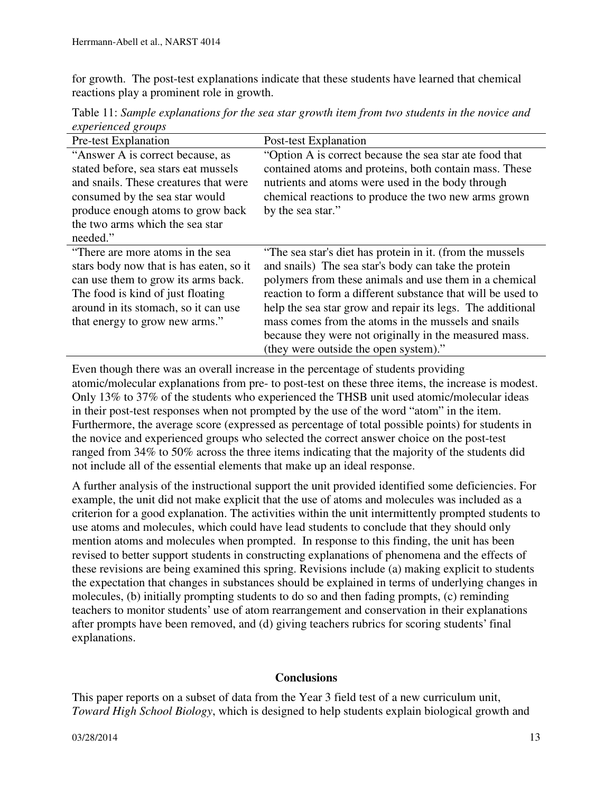for growth. The post-test explanations indicate that these students have learned that chemical reactions play a prominent role in growth.

|                           | Table 11: Sample explanations for the sea star growth item from two students in the novice and |
|---------------------------|------------------------------------------------------------------------------------------------|
| <i>experienced groups</i> |                                                                                                |

| <b>Pre-test Explanation</b>                                                                                                                                                                                                             | Post-test Explanation                                                                                                                                                                                                                                                                                                                                                                                                                                              |
|-----------------------------------------------------------------------------------------------------------------------------------------------------------------------------------------------------------------------------------------|--------------------------------------------------------------------------------------------------------------------------------------------------------------------------------------------------------------------------------------------------------------------------------------------------------------------------------------------------------------------------------------------------------------------------------------------------------------------|
| "Answer A is correct because, as<br>stated before, sea stars eat mussels<br>and snails. These creatures that were<br>consumed by the sea star would<br>produce enough atoms to grow back<br>the two arms which the sea star<br>needed." | "Option A is correct because the sea star ate food that<br>contained atoms and proteins, both contain mass. These<br>nutrients and atoms were used in the body through<br>chemical reactions to produce the two new arms grown<br>by the sea star."                                                                                                                                                                                                                |
| "There are more atoms in the sea<br>stars body now that is has eaten, so it<br>can use them to grow its arms back.<br>The food is kind of just floating<br>around in its stomach, so it can use<br>that energy to grow new arms."       | "The sea star's diet has protein in it. (from the mussels<br>and snails) The sea star's body can take the protein<br>polymers from these animals and use them in a chemical<br>reaction to form a different substance that will be used to<br>help the sea star grow and repair its legs. The additional<br>mass comes from the atoms in the mussels and snails<br>because they were not originally in the measured mass.<br>(they were outside the open system)." |

Even though there was an overall increase in the percentage of students providing atomic/molecular explanations from pre- to post-test on these three items, the increase is modest. Only 13% to 37% of the students who experienced the THSB unit used atomic/molecular ideas in their post-test responses when not prompted by the use of the word "atom" in the item. Furthermore, the average score (expressed as percentage of total possible points) for students in the novice and experienced groups who selected the correct answer choice on the post-test ranged from 34% to 50% across the three items indicating that the majority of the students did not include all of the essential elements that make up an ideal response.

A further analysis of the instructional support the unit provided identified some deficiencies. For example, the unit did not make explicit that the use of atoms and molecules was included as a criterion for a good explanation. The activities within the unit intermittently prompted students to use atoms and molecules, which could have lead students to conclude that they should only mention atoms and molecules when prompted. In response to this finding, the unit has been revised to better support students in constructing explanations of phenomena and the effects of these revisions are being examined this spring. Revisions include (a) making explicit to students the expectation that changes in substances should be explained in terms of underlying changes in molecules, (b) initially prompting students to do so and then fading prompts, (c) reminding teachers to monitor students' use of atom rearrangement and conservation in their explanations after prompts have been removed, and (d) giving teachers rubrics for scoring students' final explanations.

### **Conclusions**

This paper reports on a subset of data from the Year 3 field test of a new curriculum unit, *Toward High School Biology*, which is designed to help students explain biological growth and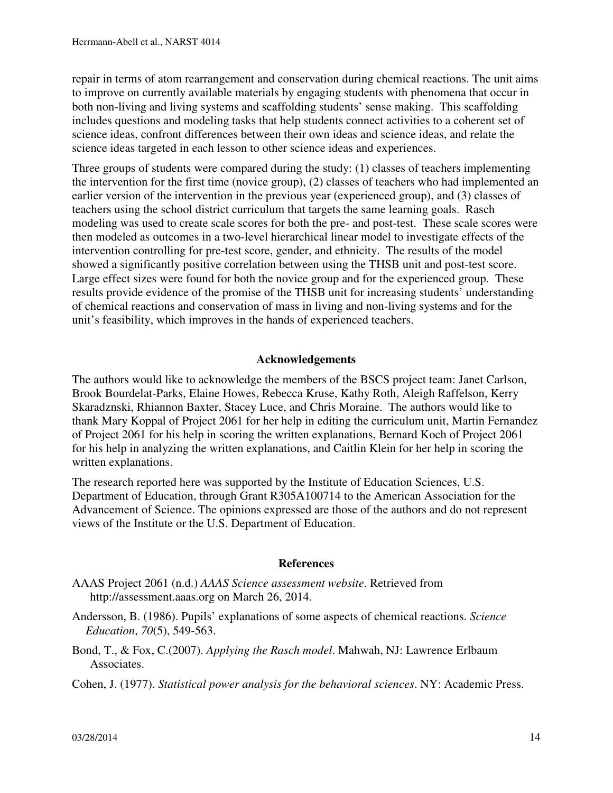repair in terms of atom rearrangement and conservation during chemical reactions. The unit aims to improve on currently available materials by engaging students with phenomena that occur in both non-living and living systems and scaffolding students' sense making. This scaffolding includes questions and modeling tasks that help students connect activities to a coherent set of science ideas, confront differences between their own ideas and science ideas, and relate the science ideas targeted in each lesson to other science ideas and experiences.

Three groups of students were compared during the study: (1) classes of teachers implementing the intervention for the first time (novice group), (2) classes of teachers who had implemented an earlier version of the intervention in the previous year (experienced group), and (3) classes of teachers using the school district curriculum that targets the same learning goals. Rasch modeling was used to create scale scores for both the pre- and post-test. These scale scores were then modeled as outcomes in a two-level hierarchical linear model to investigate effects of the intervention controlling for pre-test score, gender, and ethnicity. The results of the model showed a significantly positive correlation between using the THSB unit and post-test score. Large effect sizes were found for both the novice group and for the experienced group. These results provide evidence of the promise of the THSB unit for increasing students' understanding of chemical reactions and conservation of mass in living and non-living systems and for the unit's feasibility, which improves in the hands of experienced teachers.

## **Acknowledgements**

The authors would like to acknowledge the members of the BSCS project team: Janet Carlson, Brook Bourdelat-Parks, Elaine Howes, Rebecca Kruse, Kathy Roth, Aleigh Raffelson, Kerry Skaradznski, Rhiannon Baxter, Stacey Luce, and Chris Moraine. The authors would like to thank Mary Koppal of Project 2061 for her help in editing the curriculum unit, Martin Fernandez of Project 2061 for his help in scoring the written explanations, Bernard Koch of Project 2061 for his help in analyzing the written explanations, and Caitlin Klein for her help in scoring the written explanations.

The research reported here was supported by the Institute of Education Sciences, U.S. Department of Education, through Grant R305A100714 to the American Association for the Advancement of Science. The opinions expressed are those of the authors and do not represent views of the Institute or the U.S. Department of Education.

### **References**

- AAAS Project 2061 (n.d.) *AAAS Science assessment website*. Retrieved from http://assessment.aaas.org on March 26, 2014.
- Andersson, B. (1986). Pupils' explanations of some aspects of chemical reactions. *Science Education*, *70*(5), 549-563.
- Bond, T., & Fox, C.(2007). *Applying the Rasch model*. Mahwah, NJ: Lawrence Erlbaum Associates.

Cohen, J. (1977). *Statistical power analysis for the behavioral sciences*. NY: Academic Press.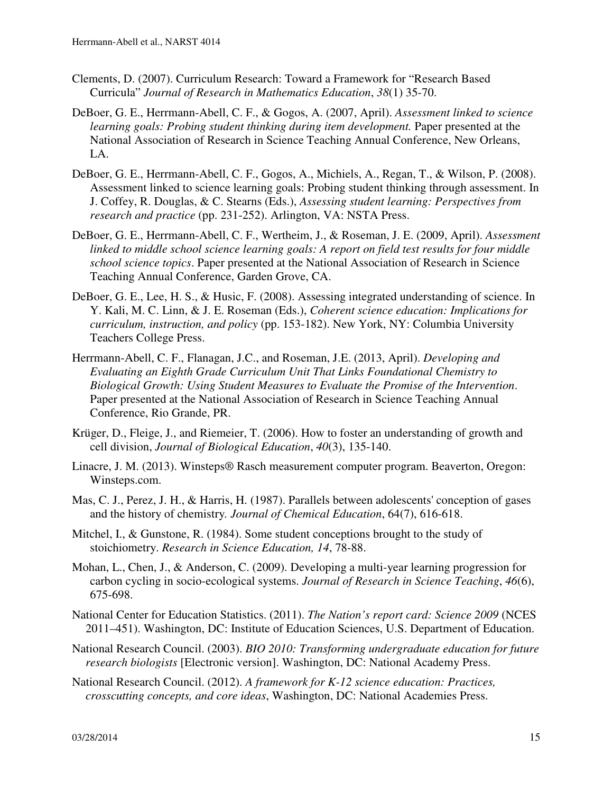- Clements, D. (2007). Curriculum Research: Toward a Framework for "Research Based Curricula" *Journal of Research in Mathematics Education*, *38*(1) 35-70.
- DeBoer, G. E., Herrmann-Abell, C. F., & Gogos, A. (2007, April). *Assessment linked to science learning goals: Probing student thinking during item development.* Paper presented at the National Association of Research in Science Teaching Annual Conference, New Orleans, LA.
- DeBoer, G. E., Herrmann-Abell, C. F., Gogos, A., Michiels, A., Regan, T., & Wilson, P. (2008). Assessment linked to science learning goals: Probing student thinking through assessment. In J. Coffey, R. Douglas, & C. Stearns (Eds.), *Assessing student learning: Perspectives from research and practice* (pp. 231-252). Arlington, VA: NSTA Press.
- DeBoer, G. E., Herrmann-Abell, C. F., Wertheim, J., & Roseman, J. E. (2009, April). *Assessment linked to middle school science learning goals: A report on field test results for four middle school science topics*. Paper presented at the National Association of Research in Science Teaching Annual Conference, Garden Grove, CA.
- DeBoer, G. E., Lee, H. S., & Husic, F. (2008). Assessing integrated understanding of science. In Y. Kali, M. C. Linn, & J. E. Roseman (Eds.), *Coherent science education: Implications for curriculum, instruction, and policy* (pp. 153-182). New York, NY: Columbia University Teachers College Press.
- Herrmann-Abell, C. F., Flanagan, J.C., and Roseman, J.E. (2013, April). *Developing and Evaluating an Eighth Grade Curriculum Unit That Links Foundational Chemistry to Biological Growth: Using Student Measures to Evaluate the Promise of the Intervention*. Paper presented at the National Association of Research in Science Teaching Annual Conference, Rio Grande, PR.
- Krüger, D., Fleige, J., and Riemeier, T. (2006). How to foster an understanding of growth and cell division, *Journal of Biological Education*, *40*(3), 135-140.
- Linacre, J. M. (2013). Winsteps® Rasch measurement computer program. Beaverton, Oregon: Winsteps.com.
- Mas, C. J., Perez, J. H., & Harris, H. (1987). Parallels between adolescents' conception of gases and the history of chemistry*. Journal of Chemical Education*, 64(7), 616-618.
- Mitchel, I., & Gunstone, R. (1984). Some student conceptions brought to the study of stoichiometry. *Research in Science Education, 14*, 78-88.
- Mohan, L., Chen, J., & Anderson, C. (2009). Developing a multi-year learning progression for carbon cycling in socio-ecological systems. *Journal of Research in Science Teaching*, *46*(6), 675-698.
- National Center for Education Statistics. (2011). *The Nation's report card: Science 2009* (NCES 2011–451). Washington, DC: Institute of Education Sciences, U.S. Department of Education.
- National Research Council. (2003). *BIO 2010: Transforming undergraduate education for future research biologists* [Electronic version]. Washington, DC: National Academy Press.
- National Research Council. (2012). *A framework for K-12 science education: Practices, crosscutting concepts, and core ideas*, Washington, DC: National Academies Press.